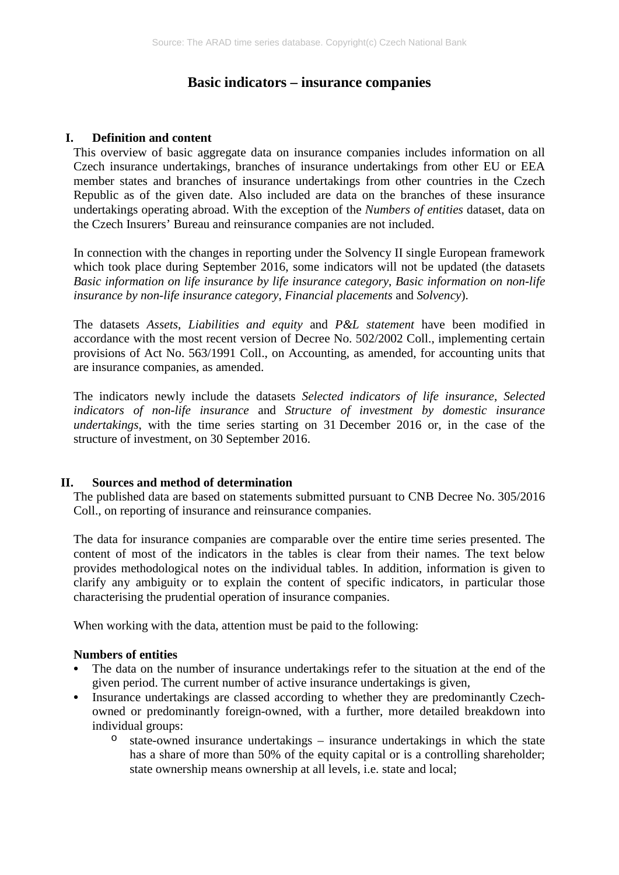# **Basic indicators – insurance companies**

#### **I. Definition and content**

This overview of basic aggregate data on insurance companies includes information on all Czech insurance undertakings, branches of insurance undertakings from other EU or EEA member states and branches of insurance undertakings from other countries in the Czech Republic as of the given date. Also included are data on the branches of these insurance undertakings operating abroad. With the exception of the *Numbers of entities* dataset, data on the Czech Insurers' Bureau and reinsurance companies are not included.

In connection with the changes in reporting under the Solvency II single European framework which took place during September 2016, some indicators will not be updated (the datasets *Basic information on life insurance by life insurance category*, *Basic information on non-life insurance by non-life insurance category*, *Financial placements* and *Solvency*).

The datasets *Assets*, *Liabilities and equity* and *P&L statement* have been modified in accordance with the most recent version of Decree No. 502/2002 Coll., implementing certain provisions of Act No. 563/1991 Coll., on Accounting, as amended, for accounting units that are insurance companies, as amended.

The indicators newly include the datasets *Selected indicators of life insurance*, *Selected indicators of non-life insurance* and *Structure of investment by domestic insurance undertakings*, with the time series starting on 31 December 2016 or, in the case of the structure of investment, on 30 September 2016.

#### **II. Sources and method of determination**

The published data are based on statements submitted pursuant to CNB Decree No. 305/2016 Coll., on reporting of insurance and reinsurance companies.

The data for insurance companies are comparable over the entire time series presented. The content of most of the indicators in the tables is clear from their names. The text below provides methodological notes on the individual tables. In addition, information is given to clarify any ambiguity or to explain the content of specific indicators, in particular those characterising the prudential operation of insurance companies.

When working with the data, attention must be paid to the following:

#### **Numbers of entities**

- The data on the number of insurance undertakings refer to the situation at the end of the given period. The current number of active insurance undertakings is given,
- Insurance undertakings are classed according to whether they are predominantly Czechowned or predominantly foreign-owned, with a further, more detailed breakdown into individual groups:
	- $\circ$  state-owned insurance undertakings insurance undertakings in which the state has a share of more than 50% of the equity capital or is a controlling shareholder; state ownership means ownership at all levels, i.e. state and local;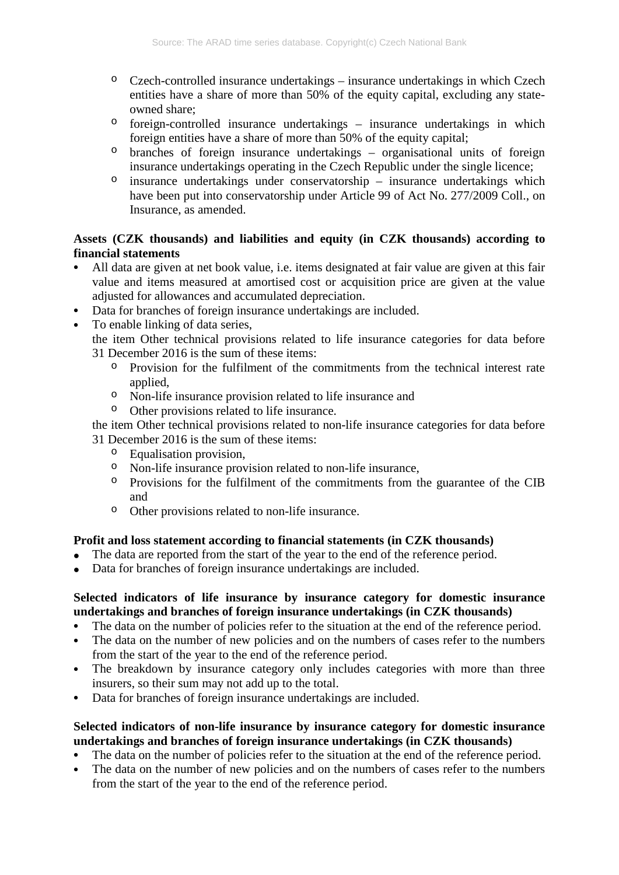- $\degree$  Czech-controlled insurance undertakings insurance undertakings in which Czech entities have a share of more than 50% of the equity capital, excluding any stateowned share;
- $\circ$  foreign-controlled insurance undertakings insurance undertakings in which foreign entities have a share of more than 50% of the equity capital;
- $\circ$  branches of foreign insurance undertakings organisational units of foreign insurance undertakings operating in the Czech Republic under the single licence;
- $\circ$  insurance undertakings under conservatorship insurance undertakings which have been put into conservatorship under Article 99 of Act No. 277/2009 Coll., on Insurance, as amended.

### **Assets (CZK thousands) and liabilities and equity (in CZK thousands) according to financial statements**

- All data are given at net book value, i.e. items designated at fair value are given at this fair value and items measured at amortised cost or acquisition price are given at the value adjusted for allowances and accumulated depreciation.
- Data for branches of foreign insurance undertakings are included.
- To enable linking of data series,
	- the item Other technical provisions related to life insurance categories for data before 31 December 2016 is the sum of these items:
		- o Provision for the fulfilment of the commitments from the technical interest rate applied,
		- o Non-life insurance provision related to life insurance and
		- o Other provisions related to life insurance.

the item Other technical provisions related to non-life insurance categories for data before 31 December 2016 is the sum of these items:

- o Equalisation provision,
- o Non-life insurance provision related to non-life insurance,
- o Provisions for the fulfilment of the commitments from the guarantee of the CIB and
- o Other provisions related to non-life insurance.

#### **Profit and loss statement according to financial statements (in CZK thousands)**

- The data are reported from the start of the year to the end of the reference period.
- Data for branches of foreign insurance undertakings are included.

## **Selected indicators of life insurance by insurance category for domestic insurance undertakings and branches of foreign insurance undertakings (in CZK thousands)**

- The data on the number of policies refer to the situation at the end of the reference period.
- The data on the number of new policies and on the numbers of cases refer to the numbers from the start of the year to the end of the reference period.
- The breakdown by insurance category only includes categories with more than three insurers, so their sum may not add up to the total.
- Data for branches of foreign insurance undertakings are included.

## **Selected indicators of non-life insurance by insurance category for domestic insurance undertakings and branches of foreign insurance undertakings (in CZK thousands)**

- The data on the number of policies refer to the situation at the end of the reference period.
- The data on the number of new policies and on the numbers of cases refer to the numbers from the start of the year to the end of the reference period.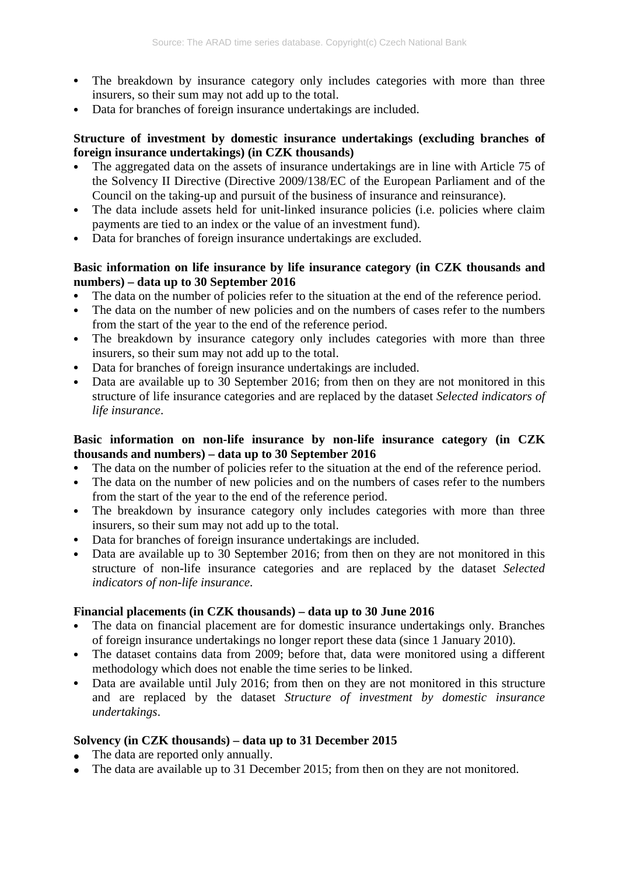- The breakdown by insurance category only includes categories with more than three insurers, so their sum may not add up to the total.
- Data for branches of foreign insurance undertakings are included.

## **Structure of investment by domestic insurance undertakings (excluding branches of foreign insurance undertakings) (in CZK thousands)**

- The aggregated data on the assets of insurance undertakings are in line with Article 75 of the Solvency II Directive (Directive 2009/138/EC of the European Parliament and of the Council on the taking-up and pursuit of the business of insurance and reinsurance).
- The data include assets held for unit-linked insurance policies (i.e. policies where claim payments are tied to an index or the value of an investment fund).
- Data for branches of foreign insurance undertakings are excluded.

## **Basic information on life insurance by life insurance category (in CZK thousands and numbers) – data up to 30 September 2016**

- The data on the number of policies refer to the situation at the end of the reference period.
- The data on the number of new policies and on the numbers of cases refer to the numbers from the start of the year to the end of the reference period.
- The breakdown by insurance category only includes categories with more than three insurers, so their sum may not add up to the total.
- Data for branches of foreign insurance undertakings are included.
- Data are available up to 30 September 2016; from then on they are not monitored in this structure of life insurance categories and are replaced by the dataset *Selected indicators of life insurance*.

### **Basic information on non-life insurance by non-life insurance category (in CZK thousands and numbers) – data up to 30 September 2016**

- The data on the number of policies refer to the situation at the end of the reference period.
- The data on the number of new policies and on the numbers of cases refer to the numbers from the start of the year to the end of the reference period.
- The breakdown by insurance category only includes categories with more than three insurers, so their sum may not add up to the total.
- Data for branches of foreign insurance undertakings are included.
- Data are available up to 30 September 2016; from then on they are not monitored in this structure of non-life insurance categories and are replaced by the dataset *Selected indicators of non-life insurance*.

## **Financial placements (in CZK thousands) – data up to 30 June 2016**

- The data on financial placement are for domestic insurance undertakings only. Branches of foreign insurance undertakings no longer report these data (since 1 January 2010).
- The dataset contains data from 2009; before that, data were monitored using a different methodology which does not enable the time series to be linked.
- Data are available until July 2016; from then on they are not monitored in this structure and are replaced by the dataset *Structure of investment by domestic insurance undertakings*.

## **Solvency (in CZK thousands) – data up to 31 December 2015**

- The data are reported only annually.
- The data are available up to 31 December 2015; from then on they are not monitored.